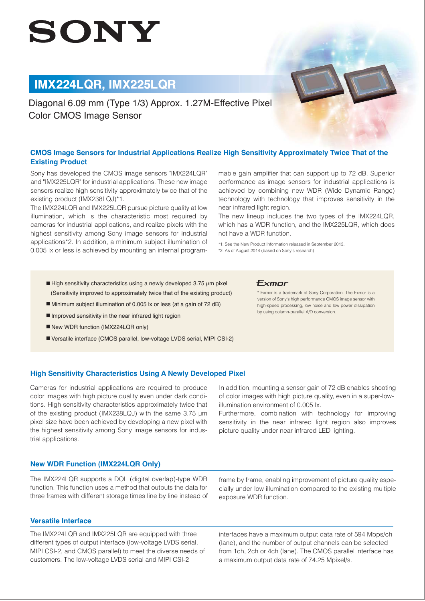# SONY

# **IMX224LQR, IMX225LQR**

Diagonal 6.09 mm (Type 1/3) Approx. 1.27M-Effective Pixel Color CMOS Image Sensor

# **CMOS Image Sensors for Industrial Applications Realize High Sensitivity Approximately Twice That of the Existing Product**

Sony has developed the CMOS image sensors "IMX224LQR" and "IMX225LQR" for industrial applications. These new image sensors realize high sensitivity approximately twice that of the existing product (IMX238LQJ)\*1.

The IMX224LQR and IMX225LQR pursue picture quality at low illumination, which is the characteristic most required by cameras for industrial applications, and realize pixels with the highest sensitivity among Sony image sensors for industrial applications\*2. In addition, a minimum subject illumination of 0.005 lx or less is achieved by mounting an internal programmable gain amplifier that can support up to 72 dB. Superior performance as image sensors for industrial applications is achieved by combining new WDR (Wide Dynamic Range) technology with technology that improves sensitivity in the near infrared light region.

The new lineup includes the two types of the IMX224LQR, which has a WDR function, and the IMX225LQR, which does not have a WDR function.

\*1: See the New Product Information released in September 2013. \*2: As of August 2014 (based on Sony's research)

- $\blacksquare$  High sensitivity characteristics using a newly developed 3.75  $\mu$ m pixel (Sensitivity improved to approximately twice that of the existing product)
- Minimum subject illumination of 0.005 lx or less (at a gain of 72 dB)
- Improved sensitivity in the near infrared light region
- New WDR function (IMX224LQR only)
- Versatile interface (CMOS parallel, low-voltage LVDS serial, MIPI CSI-2)

#### **Exmor**

\* Exmor is a trademark of Sony Corporation. The Exmor is a version of Sony's high performance CMOS image sensor with high-speed processing, low noise and low power dissipation by using column-parallel A/D conversion.

# **High Sensitivity Characteristics Using A Newly Developed Pixel**

Cameras for industrial applications are required to produce color images with high picture quality even under dark conditions. High sensitivity characteristics approximately twice that of the existing product (IMX238LQJ) with the same 3.75 μm pixel size have been achieved by developing a new pixel with the highest sensitivity among Sony image sensors for industrial applications.

In addition, mounting a sensor gain of 72 dB enables shooting of color images with high picture quality, even in a super-lowillumination environment of 0.005 lx.

Furthermore, combination with technology for improving sensitivity in the near infrared light region also improves picture quality under near infrared LED lighting.

### **New WDR Function (IMX224LQR Only)**

The IMX224LQR supports a DOL (digital overlap)-type WDR function. This function uses a method that outputs the data for three frames with different storage times line by line instead of

#### **Versatile Interface**

The IMX224LQR and IMX225LQR are equipped with three different types of output interface (low-voltage LVDS serial, MIPI CSI-2, and CMOS parallel) to meet the diverse needs of customers. The low-voltage LVDS serial and MIPI CSI-2

frame by frame, enabling improvement of picture quality especially under low illumination compared to the existing multiple exposure WDR function.

interfaces have a maximum output data rate of 594 Mbps/ch (lane), and the number of output channels can be selected from 1ch, 2ch or 4ch (lane). The CMOS parallel interface has a maximum output data rate of 74.25 Mpixel/s.